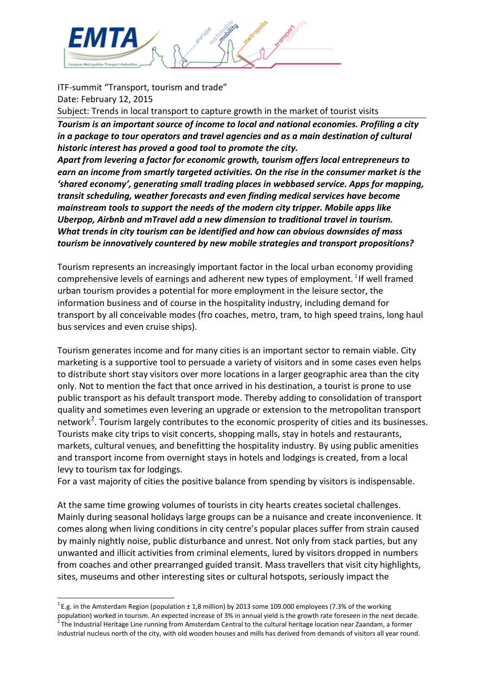

ITF-summit "Transport, tourism and trade" Date: February 12, 2015

Subject: Trends in local transport to capture growth in the market of tourist visits

*Tourism is an important source of income to local and national economies. Profiling a city in a package to tour operators and travel agencies and as a main destination of cultural historic interest has proved a good tool to promote the city.* 

*Apart from levering a factor for economic growth, tourism offers local entrepreneurs to earn an income from smartly targeted activities. On the rise in the consumer market is the 'shared economy', generating small trading places in webbased service. Apps for mapping, transit scheduling, weather forecasts and even finding medical services have become mainstream tools to support the needs of the modern city tripper. Mobile apps like Uberpop, Airbnb and mTravel add a new dimension to traditional travel in tourism. What trends in city tourism can be identified and how can obvious downsides of mass tourism be innovatively countered by new mobile strategies and transport propositions?* 

Tourism represents an increasingly important factor in the local urban economy providing comprehensive levels of earnings and adherent new types of employment. <sup>[1](#page-0-0)</sup> If well framed urban tourism provides a potential for more employment in the leisure sector, the information business and of course in the hospitality industry, including demand for transport by all conceivable modes (fro coaches, metro, tram, to high speed trains, long haul bus services and even cruise ships).

Tourism generates income and for many cities is an important sector to remain viable. City marketing is a supportive tool to persuade a variety of visitors and in some cases even helps to distribute short stay visitors over more locations in a larger geographic area than the city only. Not to mention the fact that once arrived in his destination, a tourist is prone to use public transport as his default transport mode. Thereby adding to consolidation of transport quality and sometimes even levering an upgrade or extension to the metropolitan transport network<sup>[2](#page-0-1)</sup>. Tourism largely contributes to the economic prosperity of cities and its businesses. Tourists make city trips to visit concerts, shopping malls, stay in hotels and restaurants, markets, cultural venues, and benefitting the hospitality industry. By using public amenities and transport income from overnight stays in hotels and lodgings is created, from a local levy to tourism tax for lodgings.

For a vast majority of cities the positive balance from spending by visitors is indispensable.

At the same time growing volumes of tourists in city hearts creates societal challenges. Mainly during seasonal holidays large groups can be a nuisance and create inconvenience. It comes along when living conditions in city centre's popular places suffer from strain caused by mainly nightly noise, public disturbance and unrest. Not only from stack parties, but any unwanted and illicit activities from criminal elements, lured by visitors dropped in numbers from coaches and other prearranged guided transit. Mass travellers that visit city highlights, sites, museums and other interesting sites or cultural hotspots, seriously impact the

<span id="page-0-1"></span><span id="page-0-0"></span> $^{1}$  E.g. in the Amsterdam Region (population  $\pm$  1,8 million) by 2013 some 109.000 employees (7.3% of the working population) worked in tourism. An expected increase of 3% in annual yield is the growth rate foreseen in the next decade.<br><sup>2</sup> The Industrial Heritage Line running from Amsterdam Central to the cultural heritage location ne industrial nucleus north of the city, with old wooden houses and mills has derived from demands of visitors all year round.  $\overline{1}$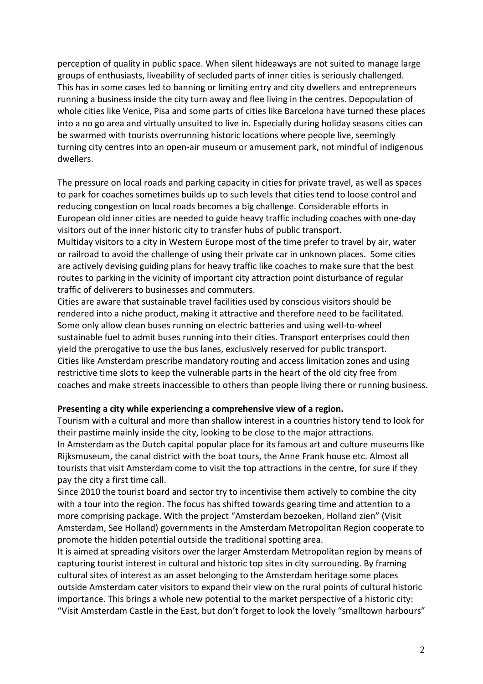perception of quality in public space. When silent hideaways are not suited to manage large groups of enthusiasts, liveability of secluded parts of inner cities is seriously challenged. This has in some cases led to banning or limiting entry and city dwellers and entrepreneurs running a business inside the city turn away and flee living in the centres. Depopulation of whole cities like Venice, Pisa and some parts of cities like Barcelona have turned these places into a no go area and virtually unsuited to live in. Especially during holiday seasons cities can be swarmed with tourists overrunning historic locations where people live, seemingly turning city centres into an open-air museum or amusement park, not mindful of indigenous dwellers.

The pressure on local roads and parking capacity in cities for private travel, as well as spaces to park for coaches sometimes builds up to such levels that cities tend to loose control and reducing congestion on local roads becomes a big challenge. Considerable efforts in European old inner cities are needed to guide heavy traffic including coaches with one-day visitors out of the inner historic city to transfer hubs of public transport.

Multiday visitors to a city in Western Europe most of the time prefer to travel by air, water or railroad to avoid the challenge of using their private car in unknown places. Some cities are actively devising guiding plans for heavy traffic like coaches to make sure that the best routes to parking in the vicinity of important city attraction point disturbance of regular traffic of deliverers to businesses and commuters.

Cities are aware that sustainable travel facilities used by conscious visitors should be rendered into a niche product, making it attractive and therefore need to be facilitated. Some only allow clean buses running on electric batteries and using well-to-wheel sustainable fuel to admit buses running into their cities. Transport enterprises could then yield the prerogative to use the bus lanes, exclusively reserved for public transport. Cities like Amsterdam prescribe mandatory routing and access limitation zones and using restrictive time slots to keep the vulnerable parts in the heart of the old city free from coaches and make streets inaccessible to others than people living there or running business.

## **Presenting a city while experiencing a comprehensive view of a region.**

Tourism with a cultural and more than shallow interest in a countries history tend to look for their pastime mainly inside the city, looking to be close to the major attractions. In Amsterdam as the Dutch capital popular place for its famous art and culture museums like Rijksmuseum, the canal district with the boat tours, the Anne Frank house etc. Almost all tourists that visit Amsterdam come to visit the top attractions in the centre, for sure if they pay the city a first time call.

Since 2010 the tourist board and sector try to incentivise them actively to combine the city with a tour into the region. The focus has shifted towards gearing time and attention to a more comprising package. With the project "Amsterdam bezoeken, Holland zien" (Visit Amsterdam, See Holland) governments in the Amsterdam Metropolitan Region cooperate to promote the hidden potential outside the traditional spotting area.

It is aimed at spreading visitors over the larger Amsterdam Metropolitan region by means of capturing tourist interest in cultural and historic top sites in city surrounding. By framing cultural sites of interest as an asset belonging to the Amsterdam heritage some places outside Amsterdam cater visitors to expand their view on the rural points of cultural historic importance. This brings a whole new potential to the market perspective of a historic city: "Visit Amsterdam Castle in the East, but don't forget to look the lovely "smalltown harbours"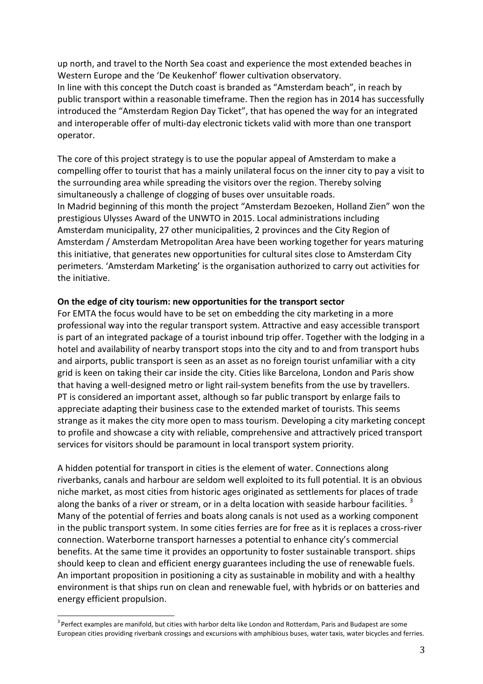up north, and travel to the North Sea coast and experience the most extended beaches in Western Europe and the 'De Keukenhof' flower cultivation observatory. In line with this concept the Dutch coast is branded as "Amsterdam beach", in reach by public transport within a reasonable timeframe. Then the region has in 2014 has successfully introduced the "Amsterdam Region Day Ticket", that has opened the way for an integrated and interoperable offer of multi-day electronic tickets valid with more than one transport operator.

The core of this project strategy is to use the popular appeal of Amsterdam to make a compelling offer to tourist that has a mainly unilateral focus on the inner city to pay a visit to the surrounding area while spreading the visitors over the region. Thereby solving simultaneously a challenge of clogging of buses over unsuitable roads. In Madrid beginning of this month the project "Amsterdam Bezoeken, Holland Zien" won the prestigious Ulysses Award of the UNWTO in 2015. Local administrations including Amsterdam municipality, 27 other municipalities, 2 provinces and the City Region of Amsterdam / Amsterdam Metropolitan Area have been working together for years maturing this initiative, that generates new opportunities for cultural sites close to Amsterdam City perimeters. 'Amsterdam Marketing' is the organisation authorized to carry out activities for the initiative.

## **On the edge of city tourism: new opportunities for the transport sector**

For EMTA the focus would have to be set on embedding the city marketing in a more professional way into the regular transport system. Attractive and easy accessible transport is part of an integrated package of a tourist inbound trip offer. Together with the lodging in a hotel and availability of nearby transport stops into the city and to and from transport hubs and airports, public transport is seen as an asset as no foreign tourist unfamiliar with a city grid is keen on taking their car inside the city. Cities like Barcelona, London and Paris show that having a well-designed metro or light rail-system benefits from the use by travellers. PT is considered an important asset, although so far public transport by enlarge fails to appreciate adapting their business case to the extended market of tourists. This seems strange as it makes the city more open to mass tourism. Developing a city marketing concept to profile and showcase a city with reliable, comprehensive and attractively priced transport services for visitors should be paramount in local transport system priority.

A hidden potential for transport in cities is the element of water. Connections along riverbanks, canals and harbour are seldom well exploited to its full potential. It is an obvious niche market, as most cities from historic ages originated as settlements for places of trade along the banks of a river or stream, or in a delta location with seaside harbour facilities.<sup>[3](#page-2-0)</sup> Many of the potential of ferries and boats along canals is not used as a working component in the public transport system. In some cities ferries are for free as it is replaces a cross-river connection. Waterborne transport harnesses a potential to enhance city's commercial benefits. At the same time it provides an opportunity to foster sustainable transport. ships should keep to clean and efficient energy guarantees including the use of renewable fuels. An important proposition in positioning a city as sustainable in mobility and with a healthy environment is that ships run on clean and renewable fuel, with hybrids or on batteries and energy efficient propulsion.

<span id="page-2-0"></span> $3$  Perfect examples are manifold, but cities with harbor delta like London and Rotterdam, Paris and Budapest are some European cities providing riverbank crossings and excursions with amphibious buses, water taxis, water bicycles and ferries.  $\frac{1}{2}$